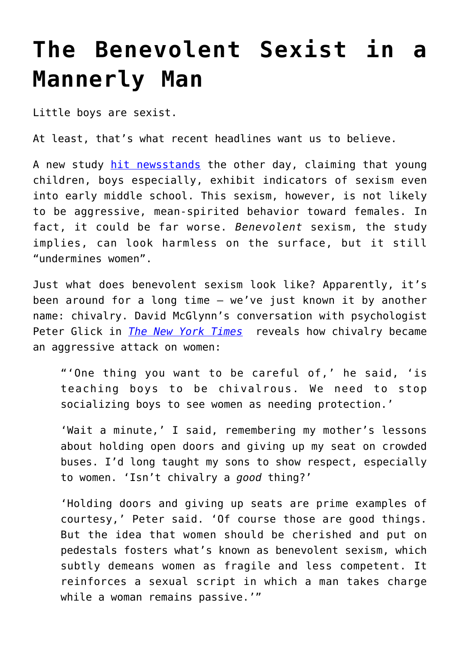## **[The Benevolent Sexist in a](https://intellectualtakeout.org/2020/04/the-benevolent-sexist-in-a-mannerly-man/) [Mannerly Man](https://intellectualtakeout.org/2020/04/the-benevolent-sexist-in-a-mannerly-man/)**

Little boys are sexist.

At least, that's what recent headlines want us to believe.

A new study [hit newsstands](https://www.dailymail.co.uk/sciencetech/article-8246085/Five-year-old-children-inherently-sexist-study-claims.html) the other day, claiming that young children, boys especially, exhibit indicators of sexism even into early middle school. This sexism, however, is not likely to be aggressive, mean-spirited behavior toward females. In fact, it could be far worse. *Benevolent* sexism, the study implies, can look harmless on the surface, but it still "undermines women".

Just what does benevolent sexism look like? Apparently, it's been around for a long time – we've just known it by another name: chivalry. David McGlynn's conversation with psychologist Peter Glick in *[The New York Times](https://www.nytimes.com/2018/06/01/well/family/metoo-sons-sexual-harassment-parenting-boys.html)* reveals how chivalry became an aggressive attack on women:

"'One thing you want to be careful of,' he said, 'is teaching boys to be chivalrous. We need to stop socializing boys to see women as needing protection.'

'Wait a minute,' I said, remembering my mother's lessons about holding open doors and giving up my seat on crowded buses. I'd long taught my sons to show respect, especially to women. 'Isn't chivalry a *good* thing?'

'Holding doors and giving up seats are prime examples of courtesy,' Peter said. 'Of course those are good things. But the idea that women should be cherished and put on pedestals fosters what's known as benevolent sexism, which subtly demeans women as fragile and less competent. It reinforces a sexual script in which a man takes charge while a woman remains passive.'"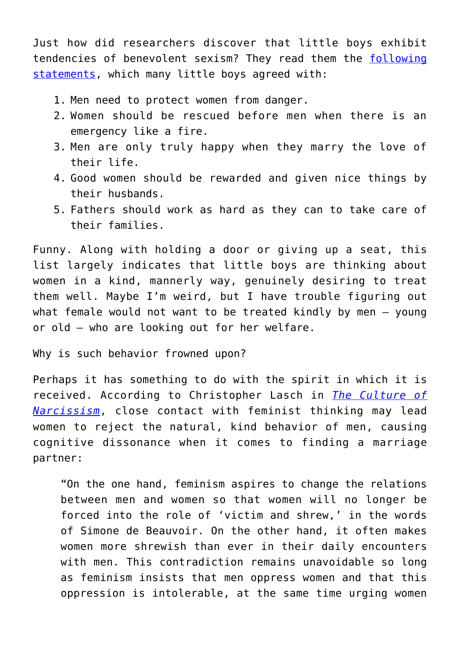Just how did researchers discover that little boys exhibit tendencies of benevolent sexism? They read them the [following](https://www.researchgate.net/publication/340105140_Wonderful_but_Weak_Children) [statements,](https://www.researchgate.net/publication/340105140_Wonderful_but_Weak_Children) which many little boys agreed with:

- 1. Men need to protect women from danger.
- 2. Women should be rescued before men when there is an emergency like a fire.
- 3. Men are only truly happy when they marry the love of their life.
- 4. Good women should be rewarded and given nice things by their husbands.
- 5. Fathers should work as hard as they can to take care of their families.

Funny. Along with holding a door or giving up a seat, this list largely indicates that little boys are thinking about women in a kind, mannerly way, genuinely desiring to treat them well. Maybe I'm weird, but I have trouble figuring out what female would not want to be treated kindly by men – young or old – who are looking out for her welfare.

Why is such behavior frowned upon?

Perhaps it has something to do with the spirit in which it is received. According to Christopher Lasch in *[The Culture of](https://www.amazon.com/gp/product/0393356175/ref=as_li_qf_asin_il_tl?ie=UTF8&tag=intelltakeo0d-20&creative=9325&linkCode=as2&creativeASIN=0393356175&linkId=7d49e306a3daae7b42908e5f258f3869) [Narcissism](https://www.amazon.com/gp/product/0393356175/ref=as_li_qf_asin_il_tl?ie=UTF8&tag=intelltakeo0d-20&creative=9325&linkCode=as2&creativeASIN=0393356175&linkId=7d49e306a3daae7b42908e5f258f3869)*, close contact with feminist thinking may lead women to reject the natural, kind behavior of men, causing cognitive dissonance when it comes to finding a marriage partner:

"On the one hand, feminism aspires to change the relations between men and women so that women will no longer be forced into the role of 'victim and shrew,' in the words of Simone de Beauvoir. On the other hand, it often makes women more shrewish than ever in their daily encounters with men. This contradiction remains unavoidable so long as feminism insists that men oppress women and that this oppression is intolerable, at the same time urging women